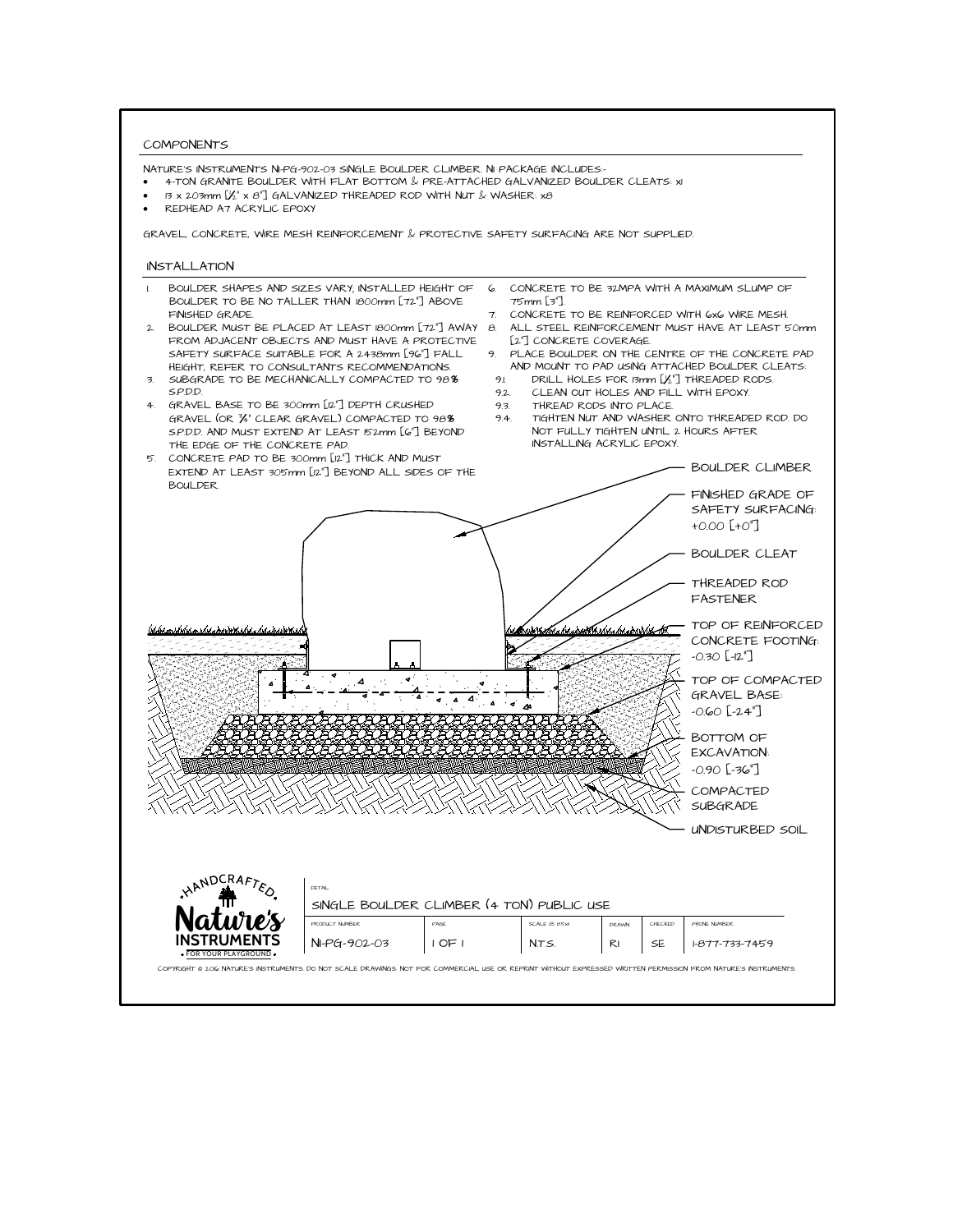